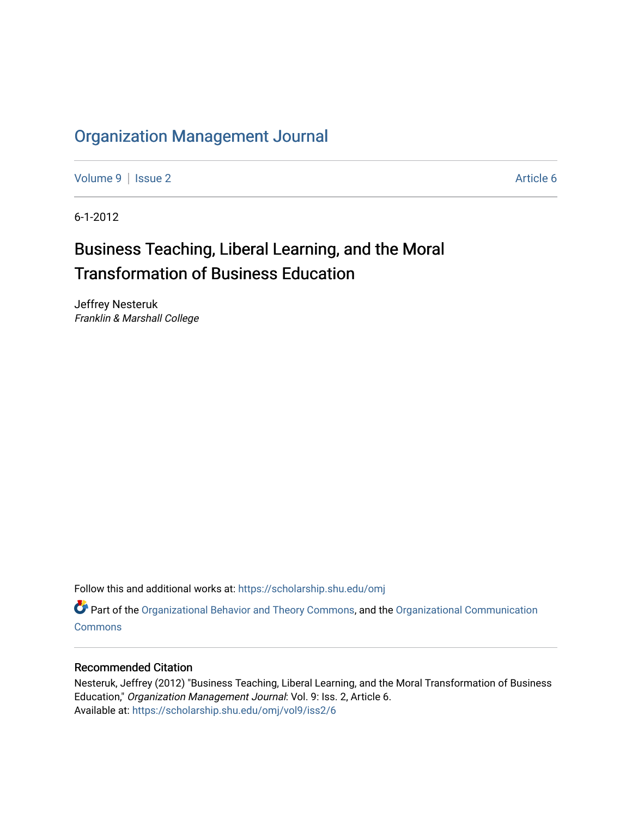## [Organization Management Journal](https://scholarship.shu.edu/omj)

[Volume 9](https://scholarship.shu.edu/omj/vol9) | [Issue 2](https://scholarship.shu.edu/omj/vol9/iss2) Article 6

6-1-2012

# Business Teaching, Liberal Learning, and the Moral Transformation of Business Education

Jeffrey Nesteruk Franklin & Marshall College

Follow this and additional works at: [https://scholarship.shu.edu/omj](https://scholarship.shu.edu/omj?utm_source=scholarship.shu.edu%2Fomj%2Fvol9%2Fiss2%2F6&utm_medium=PDF&utm_campaign=PDFCoverPages) 

Part of the [Organizational Behavior and Theory Commons,](http://network.bepress.com/hgg/discipline/639?utm_source=scholarship.shu.edu%2Fomj%2Fvol9%2Fiss2%2F6&utm_medium=PDF&utm_campaign=PDFCoverPages) and the [Organizational Communication](http://network.bepress.com/hgg/discipline/335?utm_source=scholarship.shu.edu%2Fomj%2Fvol9%2Fiss2%2F6&utm_medium=PDF&utm_campaign=PDFCoverPages) **[Commons](http://network.bepress.com/hgg/discipline/335?utm_source=scholarship.shu.edu%2Fomj%2Fvol9%2Fiss2%2F6&utm_medium=PDF&utm_campaign=PDFCoverPages)** 

### Recommended Citation

Nesteruk, Jeffrey (2012) "Business Teaching, Liberal Learning, and the Moral Transformation of Business Education," Organization Management Journal: Vol. 9: Iss. 2, Article 6. Available at: [https://scholarship.shu.edu/omj/vol9/iss2/6](https://scholarship.shu.edu/omj/vol9/iss2/6?utm_source=scholarship.shu.edu%2Fomj%2Fvol9%2Fiss2%2F6&utm_medium=PDF&utm_campaign=PDFCoverPages)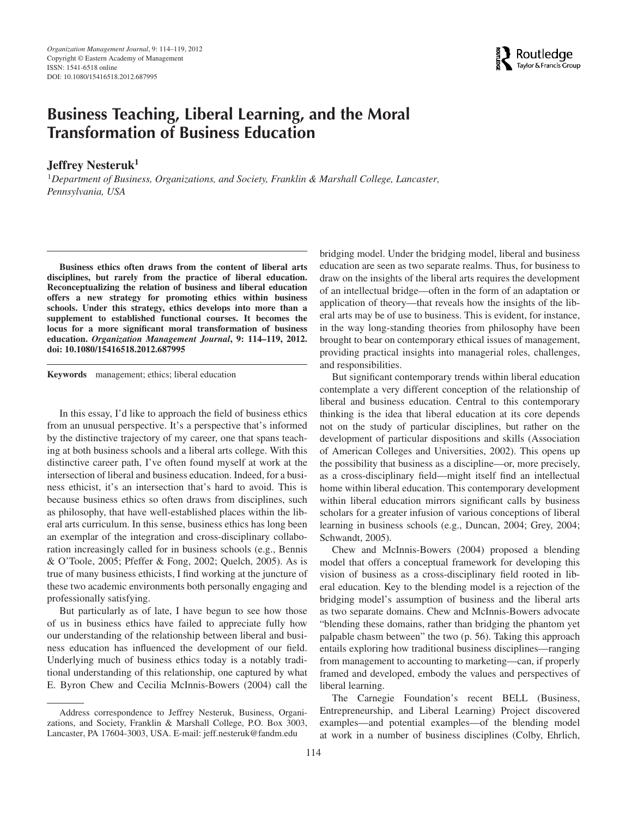

## **Business Teaching, Liberal Learning, and the Moral Transformation of Business Education**

**Jeffrey Nesteruk<sup>1</sup>**

<sup>1</sup>*Department of Business, Organizations, and Society, Franklin & Marshall College, Lancaster, Pennsylvania, USA*

**Business ethics often draws from the content of liberal arts disciplines, but rarely from the practice of liberal education. Reconceptualizing the relation of business and liberal education offers a new strategy for promoting ethics within business schools. Under this strategy, ethics develops into more than a supplement to established functional courses. It becomes the locus for a more significant moral transformation of business education.** *Organization Management Journal***, 9: 114–119, 2012. doi: 10.1080/15416518.2012.687995**

**Keywords** management; ethics; liberal education

In this essay, I'd like to approach the field of business ethics from an unusual perspective. It's a perspective that's informed by the distinctive trajectory of my career, one that spans teaching at both business schools and a liberal arts college. With this distinctive career path, I've often found myself at work at the intersection of liberal and business education. Indeed, for a business ethicist, it's an intersection that's hard to avoid. This is because business ethics so often draws from disciplines, such as philosophy, that have well-established places within the liberal arts curriculum. In this sense, business ethics has long been an exemplar of the integration and cross-disciplinary collaboration increasingly called for in business schools (e.g., Bennis & O'Toole, 2005; Pfeffer & Fong, 2002; Quelch, 2005). As is true of many business ethicists, I find working at the juncture of these two academic environments both personally engaging and professionally satisfying.

But particularly as of late, I have begun to see how those of us in business ethics have failed to appreciate fully how our understanding of the relationship between liberal and business education has influenced the development of our field. Underlying much of business ethics today is a notably traditional understanding of this relationship, one captured by what E. Byron Chew and Cecilia McInnis-Bowers (2004) call the

bridging model. Under the bridging model, liberal and business education are seen as two separate realms. Thus, for business to draw on the insights of the liberal arts requires the development of an intellectual bridge—often in the form of an adaptation or application of theory—that reveals how the insights of the liberal arts may be of use to business. This is evident, for instance, in the way long-standing theories from philosophy have been brought to bear on contemporary ethical issues of management, providing practical insights into managerial roles, challenges, and responsibilities.

But significant contemporary trends within liberal education contemplate a very different conception of the relationship of liberal and business education. Central to this contemporary thinking is the idea that liberal education at its core depends not on the study of particular disciplines, but rather on the development of particular dispositions and skills (Association of American Colleges and Universities, 2002). This opens up the possibility that business as a discipline—or, more precisely, as a cross-disciplinary field—might itself find an intellectual home within liberal education. This contemporary development within liberal education mirrors significant calls by business scholars for a greater infusion of various conceptions of liberal learning in business schools (e.g., Duncan, 2004; Grey, 2004; Schwandt, 2005).

Chew and McInnis-Bowers (2004) proposed a blending model that offers a conceptual framework for developing this vision of business as a cross-disciplinary field rooted in liberal education. Key to the blending model is a rejection of the bridging model's assumption of business and the liberal arts as two separate domains. Chew and McInnis-Bowers advocate "blending these domains, rather than bridging the phantom yet palpable chasm between" the two (p. 56). Taking this approach entails exploring how traditional business disciplines—ranging from management to accounting to marketing—can, if properly framed and developed, embody the values and perspectives of liberal learning.

The Carnegie Foundation's recent BELL (Business, Entrepreneurship, and Liberal Learning) Project discovered examples—and potential examples—of the blending model at work in a number of business disciplines (Colby, Ehrlich,

Address correspondence to Jeffrey Nesteruk, Business, Organizations, and Society, Franklin & Marshall College, P.O. Box 3003, Lancaster, PA 17604-3003, USA. E-mail: jeff.nesteruk@fandm.edu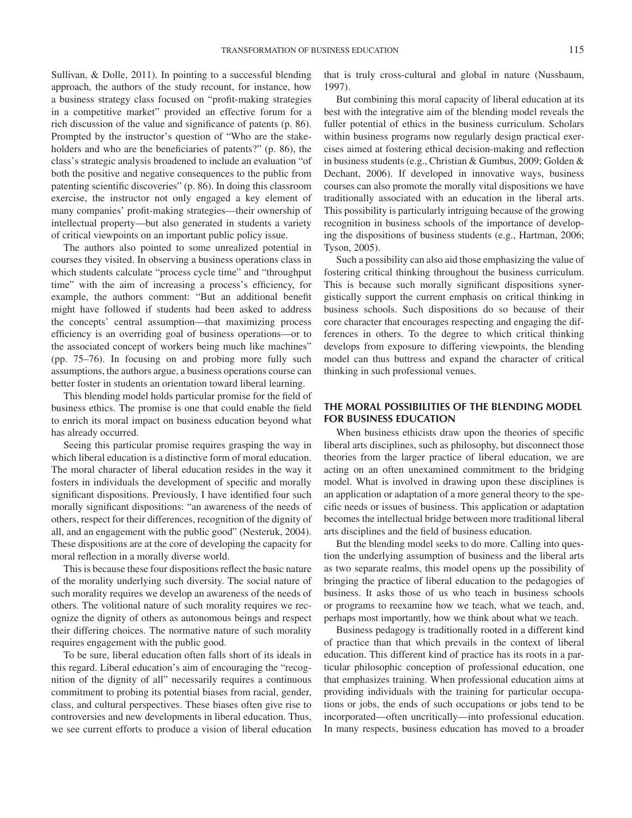Sullivan, & Dolle, 2011). In pointing to a successful blending approach, the authors of the study recount, for instance, how a business strategy class focused on "profit-making strategies in a competitive market" provided an effective forum for a rich discussion of the value and significance of patents (p. 86). Prompted by the instructor's question of "Who are the stakeholders and who are the beneficiaries of patents?" (p. 86), the class's strategic analysis broadened to include an evaluation "of both the positive and negative consequences to the public from patenting scientific discoveries" (p. 86). In doing this classroom exercise, the instructor not only engaged a key element of many companies' profit-making strategies—their ownership of intellectual property—but also generated in students a variety of critical viewpoints on an important public policy issue.

The authors also pointed to some unrealized potential in courses they visited. In observing a business operations class in which students calculate "process cycle time" and "throughput time" with the aim of increasing a process's efficiency, for example, the authors comment: "But an additional benefit might have followed if students had been asked to address the concepts' central assumption—that maximizing process efficiency is an overriding goal of business operations—or to the associated concept of workers being much like machines" (pp. 75–76). In focusing on and probing more fully such assumptions, the authors argue, a business operations course can better foster in students an orientation toward liberal learning.

This blending model holds particular promise for the field of business ethics. The promise is one that could enable the field to enrich its moral impact on business education beyond what has already occurred.

Seeing this particular promise requires grasping the way in which liberal education is a distinctive form of moral education. The moral character of liberal education resides in the way it fosters in individuals the development of specific and morally significant dispositions. Previously, I have identified four such morally significant dispositions: "an awareness of the needs of others, respect for their differences, recognition of the dignity of all, and an engagement with the public good" (Nesteruk, 2004). These dispositions are at the core of developing the capacity for moral reflection in a morally diverse world.

This is because these four dispositions reflect the basic nature of the morality underlying such diversity. The social nature of such morality requires we develop an awareness of the needs of others. The volitional nature of such morality requires we recognize the dignity of others as autonomous beings and respect their differing choices. The normative nature of such morality requires engagement with the public good.

To be sure, liberal education often falls short of its ideals in this regard. Liberal education's aim of encouraging the "recognition of the dignity of all" necessarily requires a continuous commitment to probing its potential biases from racial, gender, class, and cultural perspectives. These biases often give rise to controversies and new developments in liberal education. Thus, we see current efforts to produce a vision of liberal education that is truly cross-cultural and global in nature (Nussbaum, 1997).

But combining this moral capacity of liberal education at its best with the integrative aim of the blending model reveals the fuller potential of ethics in the business curriculum. Scholars within business programs now regularly design practical exercises aimed at fostering ethical decision-making and reflection in business students (e.g., Christian & Gumbus, 2009; Golden & Dechant, 2006). If developed in innovative ways, business courses can also promote the morally vital dispositions we have traditionally associated with an education in the liberal arts. This possibility is particularly intriguing because of the growing recognition in business schools of the importance of developing the dispositions of business students (e.g., Hartman, 2006; Tyson, 2005).

Such a possibility can also aid those emphasizing the value of fostering critical thinking throughout the business curriculum. This is because such morally significant dispositions synergistically support the current emphasis on critical thinking in business schools. Such dispositions do so because of their core character that encourages respecting and engaging the differences in others. To the degree to which critical thinking develops from exposure to differing viewpoints, the blending model can thus buttress and expand the character of critical thinking in such professional venues.

#### **THE MORAL POSSIBILITIES OF THE BLENDING MODEL FOR BUSINESS EDUCATION**

When business ethicists draw upon the theories of specific liberal arts disciplines, such as philosophy, but disconnect those theories from the larger practice of liberal education, we are acting on an often unexamined commitment to the bridging model. What is involved in drawing upon these disciplines is an application or adaptation of a more general theory to the specific needs or issues of business. This application or adaptation becomes the intellectual bridge between more traditional liberal arts disciplines and the field of business education.

But the blending model seeks to do more. Calling into question the underlying assumption of business and the liberal arts as two separate realms, this model opens up the possibility of bringing the practice of liberal education to the pedagogies of business. It asks those of us who teach in business schools or programs to reexamine how we teach, what we teach, and, perhaps most importantly, how we think about what we teach.

Business pedagogy is traditionally rooted in a different kind of practice than that which prevails in the context of liberal education. This different kind of practice has its roots in a particular philosophic conception of professional education, one that emphasizes training. When professional education aims at providing individuals with the training for particular occupations or jobs, the ends of such occupations or jobs tend to be incorporated—often uncritically—into professional education. In many respects, business education has moved to a broader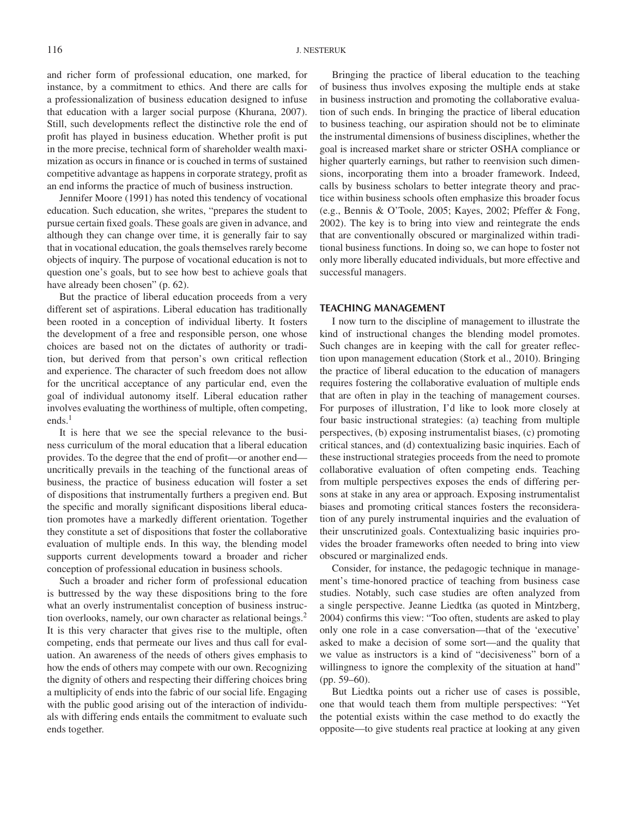and richer form of professional education, one marked, for instance, by a commitment to ethics. And there are calls for a professionalization of business education designed to infuse that education with a larger social purpose (Khurana, 2007). Still, such developments reflect the distinctive role the end of profit has played in business education. Whether profit is put in the more precise, technical form of shareholder wealth maximization as occurs in finance or is couched in terms of sustained competitive advantage as happens in corporate strategy, profit as an end informs the practice of much of business instruction.

Jennifer Moore (1991) has noted this tendency of vocational education. Such education, she writes, "prepares the student to pursue certain fixed goals. These goals are given in advance, and although they can change over time, it is generally fair to say that in vocational education, the goals themselves rarely become objects of inquiry. The purpose of vocational education is not to question one's goals, but to see how best to achieve goals that have already been chosen" (p. 62).

But the practice of liberal education proceeds from a very different set of aspirations. Liberal education has traditionally been rooted in a conception of individual liberty. It fosters the development of a free and responsible person, one whose choices are based not on the dictates of authority or tradition, but derived from that person's own critical reflection and experience. The character of such freedom does not allow for the uncritical acceptance of any particular end, even the goal of individual autonomy itself. Liberal education rather involves evaluating the worthiness of multiple, often competing, ends.<sup>1</sup>

It is here that we see the special relevance to the business curriculum of the moral education that a liberal education provides. To the degree that the end of profit—or another end uncritically prevails in the teaching of the functional areas of business, the practice of business education will foster a set of dispositions that instrumentally furthers a pregiven end. But the specific and morally significant dispositions liberal education promotes have a markedly different orientation. Together they constitute a set of dispositions that foster the collaborative evaluation of multiple ends. In this way, the blending model supports current developments toward a broader and richer conception of professional education in business schools.

Such a broader and richer form of professional education is buttressed by the way these dispositions bring to the fore what an overly instrumentalist conception of business instruction overlooks, namely, our own character as relational beings.<sup>2</sup> It is this very character that gives rise to the multiple, often competing, ends that permeate our lives and thus call for evaluation. An awareness of the needs of others gives emphasis to how the ends of others may compete with our own. Recognizing the dignity of others and respecting their differing choices bring a multiplicity of ends into the fabric of our social life. Engaging with the public good arising out of the interaction of individuals with differing ends entails the commitment to evaluate such ends together.

Bringing the practice of liberal education to the teaching of business thus involves exposing the multiple ends at stake in business instruction and promoting the collaborative evaluation of such ends. In bringing the practice of liberal education to business teaching, our aspiration should not be to eliminate the instrumental dimensions of business disciplines, whether the goal is increased market share or stricter OSHA compliance or higher quarterly earnings, but rather to reenvision such dimensions, incorporating them into a broader framework. Indeed, calls by business scholars to better integrate theory and practice within business schools often emphasize this broader focus (e.g., Bennis & O'Toole, 2005; Kayes, 2002; Pfeffer & Fong, 2002). The key is to bring into view and reintegrate the ends that are conventionally obscured or marginalized within traditional business functions. In doing so, we can hope to foster not only more liberally educated individuals, but more effective and successful managers.

#### **TEACHING MANAGEMENT**

I now turn to the discipline of management to illustrate the kind of instructional changes the blending model promotes. Such changes are in keeping with the call for greater reflection upon management education (Stork et al., 2010). Bringing the practice of liberal education to the education of managers requires fostering the collaborative evaluation of multiple ends that are often in play in the teaching of management courses. For purposes of illustration, I'd like to look more closely at four basic instructional strategies: (a) teaching from multiple perspectives, (b) exposing instrumentalist biases, (c) promoting critical stances, and (d) contextualizing basic inquiries. Each of these instructional strategies proceeds from the need to promote collaborative evaluation of often competing ends. Teaching from multiple perspectives exposes the ends of differing persons at stake in any area or approach. Exposing instrumentalist biases and promoting critical stances fosters the reconsideration of any purely instrumental inquiries and the evaluation of their unscrutinized goals. Contextualizing basic inquiries provides the broader frameworks often needed to bring into view obscured or marginalized ends.

Consider, for instance, the pedagogic technique in management's time-honored practice of teaching from business case studies. Notably, such case studies are often analyzed from a single perspective. Jeanne Liedtka (as quoted in Mintzberg, 2004) confirms this view: "Too often, students are asked to play only one role in a case conversation—that of the 'executive' asked to make a decision of some sort—and the quality that we value as instructors is a kind of "decisiveness" born of a willingness to ignore the complexity of the situation at hand" (pp. 59–60).

But Liedtka points out a richer use of cases is possible, one that would teach them from multiple perspectives: "Yet the potential exists within the case method to do exactly the opposite—to give students real practice at looking at any given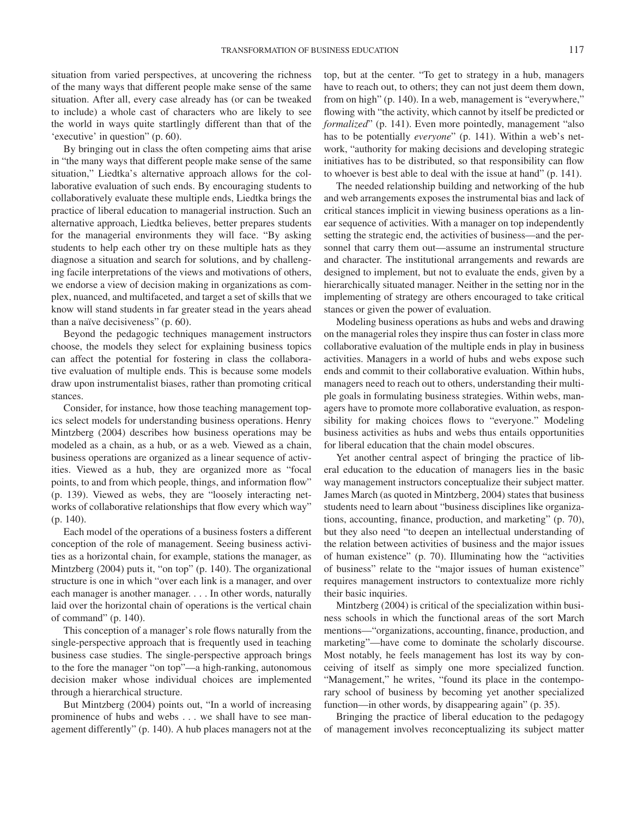situation from varied perspectives, at uncovering the richness of the many ways that different people make sense of the same situation. After all, every case already has (or can be tweaked to include) a whole cast of characters who are likely to see the world in ways quite startlingly different than that of the 'executive' in question" (p. 60).

By bringing out in class the often competing aims that arise in "the many ways that different people make sense of the same situation," Liedtka's alternative approach allows for the collaborative evaluation of such ends. By encouraging students to collaboratively evaluate these multiple ends, Liedtka brings the practice of liberal education to managerial instruction. Such an alternative approach, Liedtka believes, better prepares students for the managerial environments they will face. "By asking students to help each other try on these multiple hats as they diagnose a situation and search for solutions, and by challenging facile interpretations of the views and motivations of others, we endorse a view of decision making in organizations as complex, nuanced, and multifaceted, and target a set of skills that we know will stand students in far greater stead in the years ahead than a naïve decisiveness" (p. 60).

Beyond the pedagogic techniques management instructors choose, the models they select for explaining business topics can affect the potential for fostering in class the collaborative evaluation of multiple ends. This is because some models draw upon instrumentalist biases, rather than promoting critical stances.

Consider, for instance, how those teaching management topics select models for understanding business operations. Henry Mintzberg (2004) describes how business operations may be modeled as a chain, as a hub, or as a web. Viewed as a chain, business operations are organized as a linear sequence of activities. Viewed as a hub, they are organized more as "focal points, to and from which people, things, and information flow" (p. 139). Viewed as webs, they are "loosely interacting networks of collaborative relationships that flow every which way" (p. 140).

Each model of the operations of a business fosters a different conception of the role of management. Seeing business activities as a horizontal chain, for example, stations the manager, as Mintzberg (2004) puts it, "on top" (p. 140). The organizational structure is one in which "over each link is a manager, and over each manager is another manager. *...* In other words, naturally laid over the horizontal chain of operations is the vertical chain of command" (p. 140).

This conception of a manager's role flows naturally from the single-perspective approach that is frequently used in teaching business case studies. The single-perspective approach brings to the fore the manager "on top"—a high-ranking, autonomous decision maker whose individual choices are implemented through a hierarchical structure.

But Mintzberg (2004) points out, "In a world of increasing prominence of hubs and webs *...* we shall have to see management differently" (p. 140). A hub places managers not at the

top, but at the center. "To get to strategy in a hub, managers have to reach out, to others; they can not just deem them down, from on high" (p. 140). In a web, management is "everywhere," flowing with "the activity, which cannot by itself be predicted or *formalized*" (p. 141). Even more pointedly, management "also has to be potentially *everyone*" (p. 141). Within a web's network, "authority for making decisions and developing strategic initiatives has to be distributed, so that responsibility can flow to whoever is best able to deal with the issue at hand" (p. 141).

The needed relationship building and networking of the hub and web arrangements exposes the instrumental bias and lack of critical stances implicit in viewing business operations as a linear sequence of activities. With a manager on top independently setting the strategic end, the activities of business—and the personnel that carry them out—assume an instrumental structure and character. The institutional arrangements and rewards are designed to implement, but not to evaluate the ends, given by a hierarchically situated manager. Neither in the setting nor in the implementing of strategy are others encouraged to take critical stances or given the power of evaluation.

Modeling business operations as hubs and webs and drawing on the managerial roles they inspire thus can foster in class more collaborative evaluation of the multiple ends in play in business activities. Managers in a world of hubs and webs expose such ends and commit to their collaborative evaluation. Within hubs, managers need to reach out to others, understanding their multiple goals in formulating business strategies. Within webs, managers have to promote more collaborative evaluation, as responsibility for making choices flows to "everyone." Modeling business activities as hubs and webs thus entails opportunities for liberal education that the chain model obscures.

Yet another central aspect of bringing the practice of liberal education to the education of managers lies in the basic way management instructors conceptualize their subject matter. James March (as quoted in Mintzberg, 2004) states that business students need to learn about "business disciplines like organizations, accounting, finance, production, and marketing" (p. 70), but they also need "to deepen an intellectual understanding of the relation between activities of business and the major issues of human existence" (p. 70). Illuminating how the "activities of business" relate to the "major issues of human existence" requires management instructors to contextualize more richly their basic inquiries.

Mintzberg (2004) is critical of the specialization within business schools in which the functional areas of the sort March mentions—"organizations, accounting, finance, production, and marketing"—have come to dominate the scholarly discourse. Most notably, he feels management has lost its way by conceiving of itself as simply one more specialized function. "Management," he writes, "found its place in the contemporary school of business by becoming yet another specialized function—in other words, by disappearing again" (p. 35).

Bringing the practice of liberal education to the pedagogy of management involves reconceptualizing its subject matter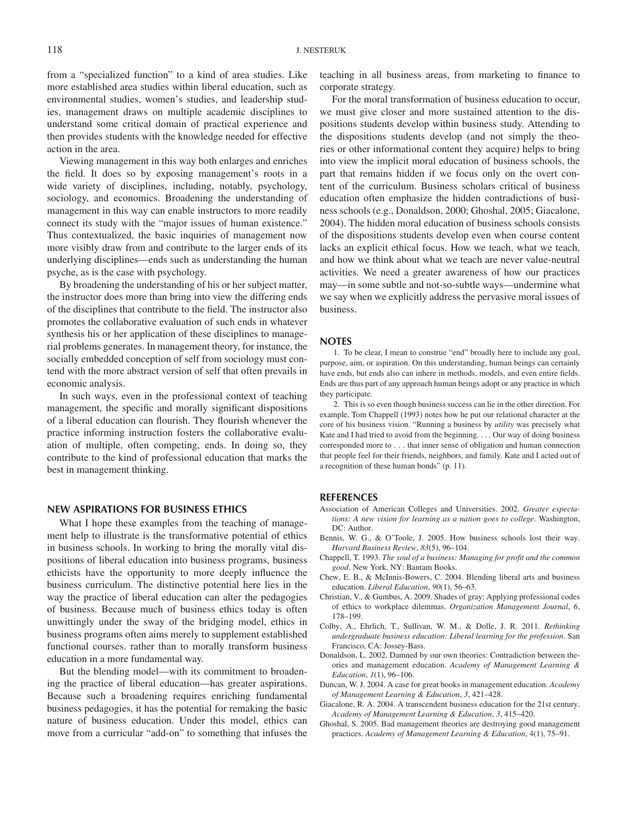from a "specialized function" to a kind of area studies. Like more established area studies within liberal education, such as environmental studies, women's studies, and leadership studies, management draws on multiple academic disciplines to understand some critical domain of practical experience and then provides students with the knowledge needed for effective action in the area.

Viewing management in this way both enlarges and enriches the field. It does so by exposing management's roots in a wide variety of disciplines, including, notably, psychology, sociology, and economics. Broadening the understanding of management in this way can enable instructors to more readily connect its study with the "major issues of human existence." Thus contextualized, the basic inquiries of management now more visibly draw from and contribute to the larger ends of its underlying disciplines—ends such as understanding the human psyche, as is the case with psychology.

By broadening the understanding of his or her subject matter, the instructor does more than bring into view the differing ends of the disciplines that contribute to the field. The instructor also promotes the collaborative evaluation of such ends in whatever synthesis his or her application of these disciplines to managerial problems generates. In management theory, for instance, the socially embedded conception of self from sociology must contend with the more abstract version of self that often prevails in economic analysis.

In such ways, even in the professional context of teaching management, the specific and morally significant dispositions of a liberal education can flourish. They flourish whenever the practice informing instruction fosters the collaborative evaluation of multiple, often competing, ends. In doing so, they contribute to the kind of professional education that marks the best in management thinking.

#### **NEW ASPIRATIONS FOR BUSINESS ETHICS**

What I hope these examples from the teaching of management help to illustrate is the transformative potential of ethics in business schools. In working to bring the morally vital dispositions of liberal education into business programs, business ethicists have the opportunity to more deeply influence the business curriculum. The distinctive potential here lies in the way the practice of liberal education can alter the pedagogies of business. Because much of business ethics today is often unwittingly under the sway of the bridging model, ethics in business programs often aims merely to supplement established functional courses. rather than to morally transform business education in a more fundamental way.

But the blending model—with its commitment to broadening the practice of liberal education—has greater aspirations. Because such a broadening requires enriching fundamental business pedagogies, it has the potential for remaking the basic nature of business education. Under this model, ethics can move from a curricular "add-on" to something that infuses the

teaching in all business areas, from marketing to finance to corporate strategy.

For the moral transformation of business education to occur, we must give closer and more sustained attention to the dispositions students develop within business study. Attending to the dispositions students develop (and not simply the theories or other informational content they acquire) helps to bring into view the implicit moral education of business schools, the part that remains hidden if we focus only on the overt content of the curriculum. Business scholars critical of business education often emphasize the hidden contradictions of business schools (e.g., Donaldson, 2000; Ghoshal, 2005; Giacalone, 2004). The hidden moral education of business schools consists of the dispositions students develop even when course content lacks an explicit ethical focus. How we teach, what we teach, and how we think about what we teach are never value-neutral activities. We need a greater awareness of how our practices may—in some subtle and not-so-subtle ways—undermine what we say when we explicitly address the pervasive moral issues of business.

#### **NOTES**

1. To be clear, I mean to construe "end" broadly here to include any goal, purpose, aim, or aspiration. On this understanding, human beings can certainly have ends, but ends also can inhere in methods, models, and even entire fields. Ends are thus part of any approach human beings adopt or any practice in which they participate.

2. This is so even though business success can lie in the other direction. For example, Tom Chappell (1993) notes how he put our relational character at the core of his business vision. "Running a business by *utility* was precisely what Kate and I had tried to avoid from the beginning. . . . Our way of doing business corresponded more to *...* that inner sense of obligation and human connection that people feel for their friends, neighbors, and family. Kate and I acted out of a recognition of these human bonds" (p. 11).

#### **REFERENCES**

- Association of American Colleges and Universities. 2002. *Greater expectations: A new vision for learning as a nation goes to college*. Washington, DC: Author.
- Bennis, W. G., & O'Toole, J. 2005. How business schools lost their way. *Harvard Business Review*, *83*(5), 96–104.
- Chappell, T. 1993. *The soul of a business: Managing for profit and the common good*. New York, NY: Bantam Books.
- Chew, E. B., & McInnis-Bowers, C. 2004. Blending liberal arts and business education. *Liberal Education*, *90*(1), 56–63.
- Christian, V., & Gumbus, A. 2009. Shades of gray: Applying professional codes of ethics to workplace dilemmas. *Organization Management Journal*, *6*, 178–199.
- Colby, A., Ehrlich, T., Sullivan, W. M., & Dolle, J. R. 2011. *Rethinking undergraduate business education: Liberal learning for the profession*. San Francisco, CA: Jossey-Bass.
- Donaldson, L. 2002. Damned by our own theories: Contradiction between theories and management education. *Academy of Management Learning & Education*, *1*(1), 96–106.
- Duncan, W. J. 2004. A case for great books in management education. *Academy of Management Learning & Education*, *3*, 421–428.
- Giacalone, R. A. 2004. A transcendent business education for the 21st century. *Academy of Management Learning & Education*, *3*, 415–420.
- Ghoshal, S. 2005. Bad management theories are destroying good management practices. *Academy of Management Learning & Education*, 4(1), 75–91.